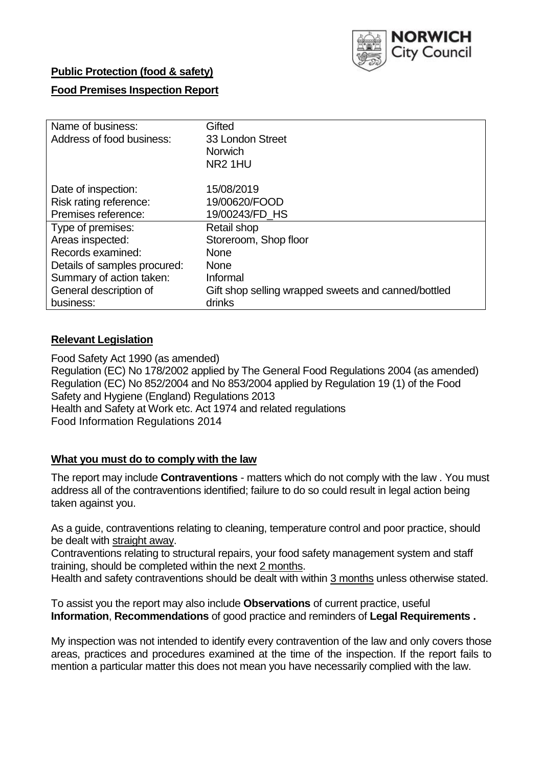

## **Public Protection (food & safety)**

## **Food Premises Inspection Report**

| Name of business:            | Gifted                                              |
|------------------------------|-----------------------------------------------------|
| Address of food business:    | 33 London Street                                    |
|                              | <b>Norwich</b>                                      |
|                              | NR <sub>2</sub> 1HU                                 |
| Date of inspection:          | 15/08/2019                                          |
| Risk rating reference:       | 19/00620/FOOD                                       |
| Premises reference:          | 19/00243/FD HS                                      |
| Type of premises:            | Retail shop                                         |
| Areas inspected:             | Storeroom, Shop floor                               |
| Records examined:            | <b>None</b>                                         |
| Details of samples procured: | <b>None</b>                                         |
| Summary of action taken:     | Informal                                            |
| General description of       | Gift shop selling wrapped sweets and canned/bottled |
| business:                    | drinks                                              |

## **Relevant Legislation**

Food Safety Act 1990 (as amended) Regulation (EC) No 178/2002 applied by The General Food Regulations 2004 (as amended) Regulation (EC) No 852/2004 and No 853/2004 applied by Regulation 19 (1) of the Food Safety and Hygiene (England) Regulations 2013 Health and Safety at Work etc. Act 1974 and related regulations Food Information Regulations 2014

#### **What you must do to comply with the law**

The report may include **Contraventions** - matters which do not comply with the law . You must address all of the contraventions identified; failure to do so could result in legal action being taken against you.

As a guide, contraventions relating to cleaning, temperature control and poor practice, should be dealt with straight away.

Contraventions relating to structural repairs, your food safety management system and staff training, should be completed within the next 2 months.

Health and safety contraventions should be dealt with within 3 months unless otherwise stated.

To assist you the report may also include **Observations** of current practice, useful **Information**, **Recommendations** of good practice and reminders of **Legal Requirements .**

My inspection was not intended to identify every contravention of the law and only covers those areas, practices and procedures examined at the time of the inspection. If the report fails to mention a particular matter this does not mean you have necessarily complied with the law.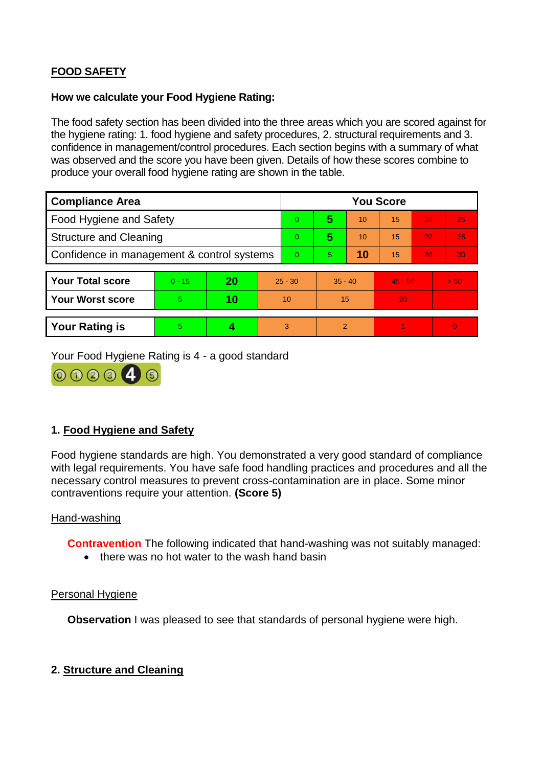# **FOOD SAFETY**

#### **How we calculate your Food Hygiene Rating:**

The food safety section has been divided into the three areas which you are scored against for the hygiene rating: 1. food hygiene and safety procedures, 2. structural requirements and 3. confidence in management/control procedures. Each section begins with a summary of what was observed and the score you have been given. Details of how these scores combine to produce your overall food hygiene rating are shown in the table.

| <b>Compliance Area</b>                     |          |    |    | <b>You Score</b> |                |    |           |    |                |  |  |
|--------------------------------------------|----------|----|----|------------------|----------------|----|-----------|----|----------------|--|--|
| Food Hygiene and Safety                    |          |    |    | $\Omega$         | 5              | 10 | 15        | 20 | 25             |  |  |
| <b>Structure and Cleaning</b>              |          |    |    | $\overline{0}$   | 5              | 10 | 15        | 20 | 25             |  |  |
| Confidence in management & control systems |          |    |    | $\Omega$         | $\overline{5}$ | 10 | 15        | 20 | 30             |  |  |
|                                            |          |    |    |                  |                |    |           |    |                |  |  |
| <b>Your Total score</b>                    | $0 - 15$ | 20 |    | $25 - 30$        | $35 - 40$      |    | $45 - 50$ |    | > 50           |  |  |
| <b>Your Worst score</b>                    | 5        | 10 | 10 |                  | 15             |    | 20        |    | $\blacksquare$ |  |  |
|                                            |          |    |    |                  |                |    |           |    |                |  |  |
| <b>Your Rating is</b>                      | 5        |    |    | 3                | $\overline{2}$ |    |           |    | $\Omega$       |  |  |

Your Food Hygiene Rating is 4 - a good standard



## **1. Food Hygiene and Safety**

Food hygiene standards are high. You demonstrated a very good standard of compliance with legal requirements. You have safe food handling practices and procedures and all the necessary control measures to prevent cross-contamination are in place. Some minor contraventions require your attention. **(Score 5)**

#### Hand-washing

**Contravention** The following indicated that hand-washing was not suitably managed:

• there was no hot water to the wash hand basin

#### Personal Hygiene

**Observation** I was pleased to see that standards of personal hygiene were high.

#### **2. Structure and Cleaning**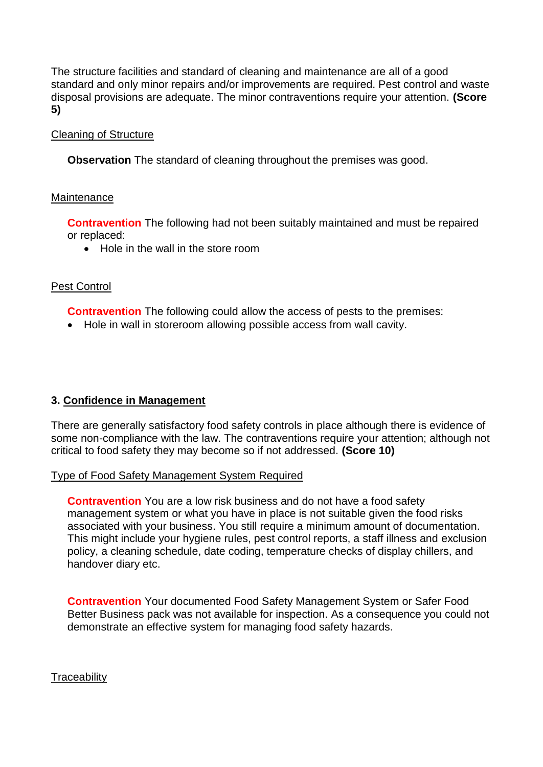The structure facilities and standard of cleaning and maintenance are all of a good standard and only minor repairs and/or improvements are required. Pest control and waste disposal provisions are adequate. The minor contraventions require your attention. **(Score 5)**

### Cleaning of Structure

**Observation** The standard of cleaning throughout the premises was good.

#### **Maintenance**

**Contravention** The following had not been suitably maintained and must be repaired or replaced:

• Hole in the wall in the store room

## Pest Control

**Contravention** The following could allow the access of pests to the premises:

Hole in wall in storeroom allowing possible access from wall cavity.

#### **3. Confidence in Management**

There are generally satisfactory food safety controls in place although there is evidence of some non-compliance with the law. The contraventions require your attention; although not critical to food safety they may become so if not addressed. **(Score 10)**

#### Type of Food Safety Management System Required

**Contravention** You are a low risk business and do not have a food safety management system or what you have in place is not suitable given the food risks associated with your business. You still require a minimum amount of documentation. This might include your hygiene rules, pest control reports, a staff illness and exclusion policy, a cleaning schedule, date coding, temperature checks of display chillers, and handover diary etc.

**Contravention** Your documented Food Safety Management System or Safer Food Better Business pack was not available for inspection. As a consequence you could not demonstrate an effective system for managing food safety hazards.

**Traceability**